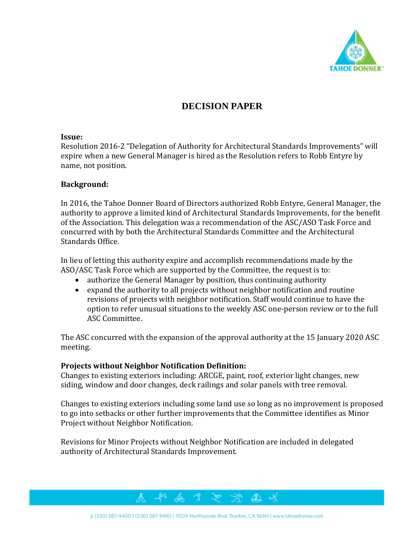

# **DECISION PAPER**

### **Issue:**

Resolution 2016-2 "Delegation of Authority for Architectural Standards Improvements" will expire when a new General Manager is hired as the Resolution refers to Robb Entyre by name, not position.

## **Background:**

In 2016, the Tahoe Donner Board of Directors authorized Robb Entyre, General Manager, the authority to approve a limited kind of Architectural Standards Improvements, for the benefit of the Association. This delegation was a recommendation of the ASC/ASO Task Force and concurred with by both the Architectural Standards Committee and the Architectural Standards Office.

In lieu of letting this authority expire and accomplish recommendations made by the ASO/ASC Task Force which are supported by the Committee, the request is to:

- authorize the General Manager by position, thus continuing authority
- expand the authority to all projects without neighbor notification and routine revisions of projects with neighbor notification. Staff would continue to have the option to refer unusual situations to the weekly ASC one-person review or to the full ASC Committee.

The ASC concurred with the expansion of the approval authority at the 15 January 2020 ASC meeting.

## **Projects without Neighbor Notification Definition:**

Changes to existing exteriors including: ARCGE, paint, roof, exterior light changes, new siding, window and door changes, deck railings and solar panels with tree removal.

Changes to existing exteriors including some land use so long as no improvement is proposed to go into setbacks or other further improvements that the Committee identifies as Minor Project without Neighbor Notification.

⚠

Revisions for Minor Projects without Neighbor Notification are included in delegated authority of Architectural Standards Improvement.



& x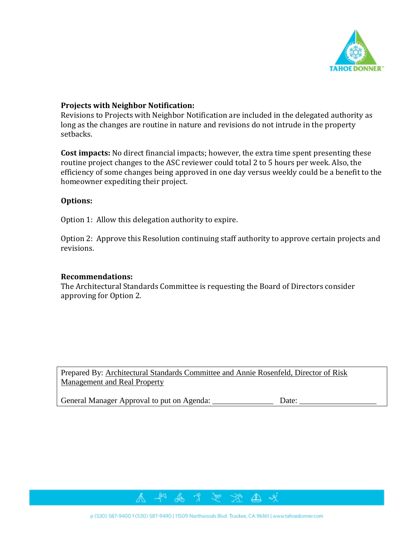

### **Projects with Neighbor Notification:**

Revisions to Projects with Neighbor Notification are included in the delegated authority as long as the changes are routine in nature and revisions do not intrude in the property setbacks.

**Cost impacts:** No direct financial impacts; however, the extra time spent presenting these routine project changes to the ASC reviewer could total 2 to 5 hours per week. Also, the efficiency of some changes being approved in one day versus weekly could be a benefit to the homeowner expediting their project.

### **Options:**

Option 1: Allow this delegation authority to expire.

Option 2: Approve this Resolution continuing staff authority to approve certain projects and revisions.

### **Recommendations:**

The Architectural Standards Committee is requesting the Board of Directors consider approving for Option 2.

Prepared By: Architectural Standards Committee and Annie Rosenfeld, Director of Risk Management and Real Property

General Manager Approval to put on Agenda: \_\_\_\_\_\_\_\_\_\_\_\_\_\_\_\_\_\_\_\_\_\_\_\_\_\_ Date:

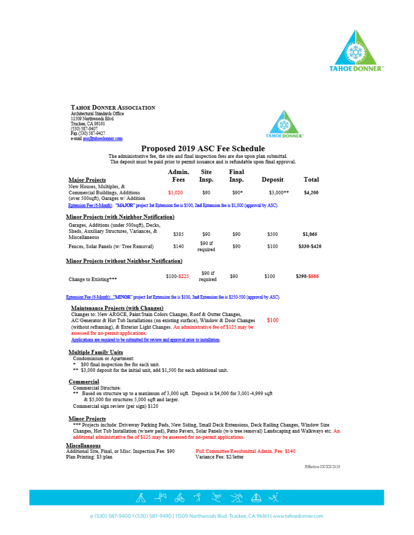

TAHOE DONNER ASSOCIATION Architectural Standards Office 11509 Northwoods Blvd Truckee, CA 96161 1100666, CA 90101<br>(530) 587-9407<br>Fax (530) 587-9427 e-mail aso@tahoedonner.com



### Proposed 2019 ASC Fee Schedule

The administrative fee, the site and final inspection fees are due upon plan submittal. The deposit must be paid prior to permit issuance and is refundable upon final approval.

 $\cdots$ 

| <b>Major Projects</b>                                                                                                | Admin.<br>Fees | <b>Site</b><br>Insp. | Final<br>Insp. | Deposit   | Total       |  |  |
|----------------------------------------------------------------------------------------------------------------------|----------------|----------------------|----------------|-----------|-------------|--|--|
| New Houses, Multiples, &<br>Commercial Buildings, Additions<br>(over 500sqft), Garages w/ Addition                   | \$1,020        | \$90                 | $590*$         | \$3,000** | \$4,200     |  |  |
| Extension Fee (6-Month): "MAJOR" project 1st Extension fee is \$500, 2nd Extension fee is \$1,000 (approval by ASC). |                |                      |                |           |             |  |  |
| Minor Projects (with Neighbor Notification)                                                                          |                |                      |                |           |             |  |  |
| Garages, Additions (under 500sqft), Decks,<br>Sheds, Auxiliary Structures, Variances, &<br>Miscellaneous             | \$385          | 890                  | \$90           | \$500     | \$1,065     |  |  |
| Fences, Solar Panels (w/ Tree Removal)                                                                               | \$140          | \$90 if<br>required  | \$90           | \$100     | \$330-\$420 |  |  |
| Minor Projects (without Neighbor Notification)                                                                       |                |                      |                |           |             |  |  |
| Change to Existing***                                                                                                | \$100-\$225    | \$90 if<br>required  | \$90           | \$100     | \$290-\$505 |  |  |

Extension Fee (6-Month): "MINOR" project 1st Extension fee is \$100, 2nd Extension fee is \$250-500 (approval by ASC).

#### Maintenance Projects (with Changes)

Changes to: New ARGCE, Paint/Stain Colors Changes, Roof & Gutter Changes. \$100 AC/Generator & Hot Tub Installations (on existing surface), Window & Door Changes (without reframing), & Exterior Light Changes. An administrative fee of \$125 may be assessed for no-permit applications. Applications are required to be submitted for review and approval prior to installation.

#### **Multiple Family Units**

Condominium or Apartment:

- \$90 final inspection fee for each unit.
- \*\* \$3,000 deposit for the initial unit, add \$1,500 for each additional unit.

#### Commercial

Commercial Structure:

- Based on structure up to a maximum of 3,000 sqft. Deposit is \$4,000 for 3,001-4,999 sqft & \$5,000 for structures 5,000 sqft and larger.
- Commercial sign review (per sign) \$120

#### **Minor Projects**

\*\*\* Projects include: Driveway Parking Pads, New Siding, Small Deck Extensions, Deck Railing Changes, Window Size Changes, Hot Tub Installation (w/new pad), Patio Pavers, Solar Panels (w/o tree removal) Landscaping and Walkways etc. An additional administrative fee of \$125 may be assessed for no-permit applications.

#### Miscellaneous

Additional Site, Final, or Misc. Inspection Fee: \$90 Plan Printing: \$3/plan

Full Committee Resubmittal Admin. Fee: \$140 Variance Fee: \$2/letter

Effective 0X/XX/2019

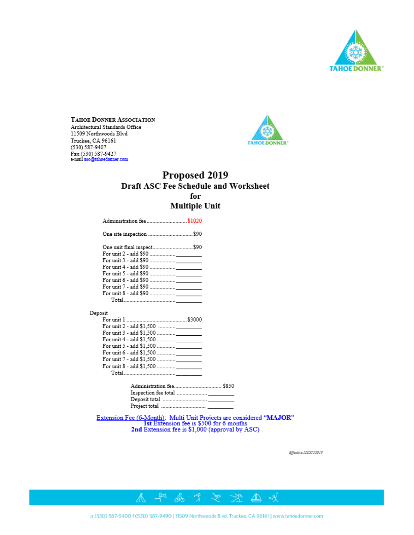

TAHOE DONNER ASSOCIATION Architectural Standards Office 11509 Northwoods Blvd Truckee, CA 96161 (530) 587-9407 Fax (530) 587-9427<br>e-mail aso@tahoedonner.com



# Proposed 2019 Draft ASC Fee Schedule and Worksheet for **Multiple Unit**

| One unit final inspect\$90 |  |
|----------------------------|--|
|                            |  |
|                            |  |
|                            |  |
|                            |  |
|                            |  |
|                            |  |
|                            |  |
|                            |  |

Extension Fee (6-Month): Multi Unit Projects are considered "MAJOR"<br>1st Extension fee is \$500 for 6 months<br>2nd Extension fee is \$1,000 (approval by ASC)

Effective XXXXXX2019



不如高力之不会